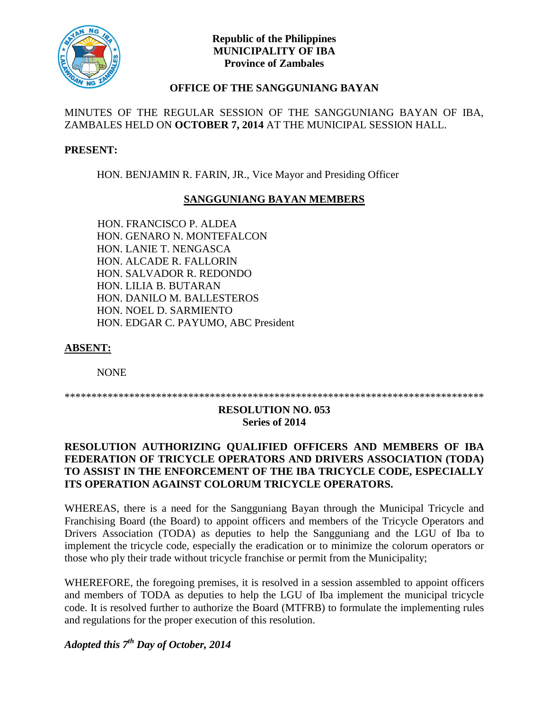

# **Republic of the Philippines MUNICIPALITY OF IBA Province of Zambales**

# **OFFICE OF THE SANGGUNIANG BAYAN**

# MINUTES OF THE REGULAR SESSION OF THE SANGGUNIANG BAYAN OF IBA, ZAMBALES HELD ON **OCTOBER 7, 2014** AT THE MUNICIPAL SESSION HALL.

# **PRESENT:**

HON. BENJAMIN R. FARIN, JR., Vice Mayor and Presiding Officer

# **SANGGUNIANG BAYAN MEMBERS**

HON. FRANCISCO P. ALDEA HON. GENARO N. MONTEFALCON HON. LANIE T. NENGASCA HON. ALCADE R. FALLORIN HON. SALVADOR R. REDONDO HON. LILIA B. BUTARAN HON. DANILO M. BALLESTEROS HON. NOEL D. SARMIENTO HON. EDGAR C. PAYUMO, ABC President

#### **ABSENT:**

NONE

\*\*\*\*\*\*\*\*\*\*\*\*\*\*\*\*\*\*\*\*\*\*\*\*\*\*\*\*\*\*\*\*\*\*\*\*\*\*\*\*\*\*\*\*\*\*\*\*\*\*\*\*\*\*\*\*\*\*\*\*\*\*\*\*\*\*\*\*\*\*\*\*\*\*\*\*\*\*

#### **RESOLUTION NO. 053 Series of 2014**

# **RESOLUTION AUTHORIZING QUALIFIED OFFICERS AND MEMBERS OF IBA FEDERATION OF TRICYCLE OPERATORS AND DRIVERS ASSOCIATION (TODA) TO ASSIST IN THE ENFORCEMENT OF THE IBA TRICYCLE CODE, ESPECIALLY ITS OPERATION AGAINST COLORUM TRICYCLE OPERATORS.**

WHEREAS, there is a need for the Sangguniang Bayan through the Municipal Tricycle and Franchising Board (the Board) to appoint officers and members of the Tricycle Operators and Drivers Association (TODA) as deputies to help the Sangguniang and the LGU of Iba to implement the tricycle code, especially the eradication or to minimize the colorum operators or those who ply their trade without tricycle franchise or permit from the Municipality;

WHEREFORE, the foregoing premises, it is resolved in a session assembled to appoint officers and members of TODA as deputies to help the LGU of Iba implement the municipal tricycle code. It is resolved further to authorize the Board (MTFRB) to formulate the implementing rules and regulations for the proper execution of this resolution.

*Adopted this 7th Day of October, 2014*